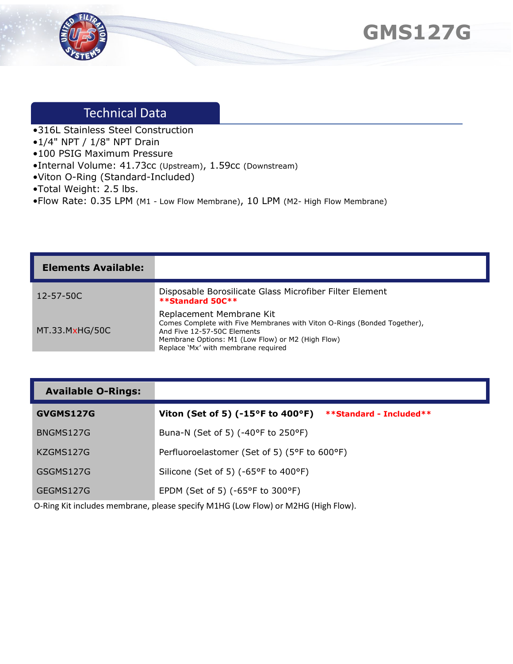



## Technical Data

- •316L Stainless Steel Construction
- •1/4" NPT / 1/8" NPT Drain
- •100 PSIG Maximum Pressure
- •Internal Volume: 41.73cc (Upstream), 1.59cc (Downstream)
- •Viton O-Ring (Standard-Included)
- •Total Weight: 2.5 lbs.
- •Flow Rate: 0.35 LPM (M1 Low Flow Membrane), 10 LPM (M2- High Flow Membrane)

| <b>Elements Available:</b> |                                                                                                                                                                                                                                 |
|----------------------------|---------------------------------------------------------------------------------------------------------------------------------------------------------------------------------------------------------------------------------|
| $12 - 57 - 50C$            | Disposable Borosilicate Glass Microfiber Filter Element<br><b>**Standard 50C**</b>                                                                                                                                              |
| MT.33.MxHG/50C             | Replacement Membrane Kit<br>Comes Complete with Five Membranes with Viton O-Rings (Bonded Together),<br>And Five 12-57-50C Elements<br>Membrane Options: M1 (Low Flow) or M2 (High Flow)<br>Replace 'Mx' with membrane required |

## **Available O-Rings:**

| GVGMS127G | Viton (Set of 5) (-15 $\degree$ F to 400 $\degree$ F)<br>**Standard - Included** |
|-----------|----------------------------------------------------------------------------------|
| BNGMS127G | Buna-N (Set of 5) (-40°F to 250°F)                                               |
| KZGMS127G | Perfluoroelastomer (Set of 5) (5°F to 600°F)                                     |
| GSGMS127G | Silicone (Set of 5) (-65°F to 400°F)                                             |
| GEGMS127G | EPDM (Set of 5) ( $-65^{\circ}$ F to 300 $^{\circ}$ F)                           |

O-Ring Kit includes membrane, please specify M1HG (Low Flow) or M2HG (High Flow).